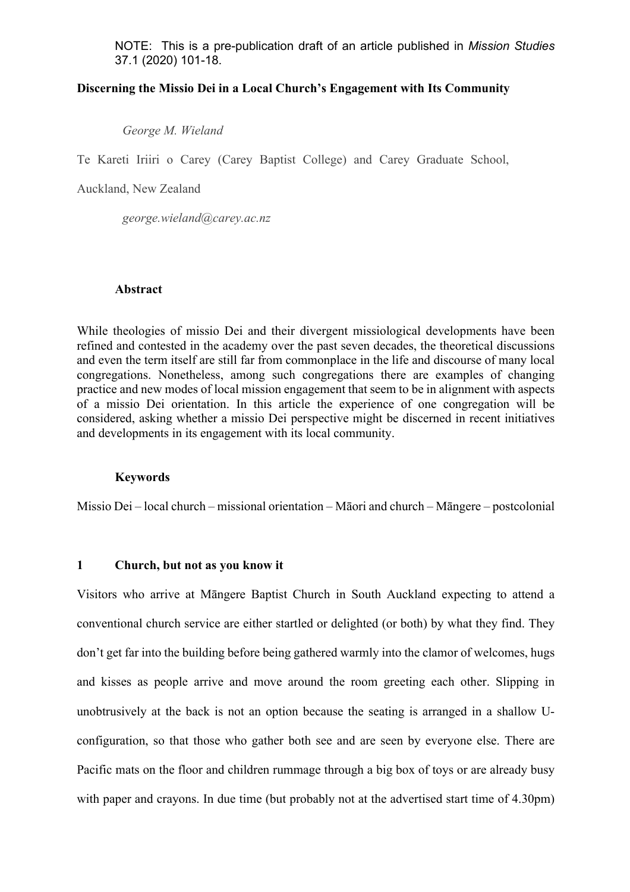#### **Discerning the Missio Dei in a Local Church's Engagement with Its Community**

*George M. Wieland*

Te Kareti Iriiri o Carey (Carey Baptist College) and Carey Graduate School,

Auckland, New Zealand

*george.wieland@carey.ac.nz*

#### **Abstract**

While theologies of missio Dei and their divergent missiological developments have been refined and contested in the academy over the past seven decades, the theoretical discussions and even the term itself are still far from commonplace in the life and discourse of many local congregations. Nonetheless, among such congregations there are examples of changing practice and new modes of local mission engagement that seem to be in alignment with aspects of a missio Dei orientation. In this article the experience of one congregation will be considered, asking whether a missio Dei perspective might be discerned in recent initiatives and developments in its engagement with its local community.

#### **Keywords**

Missio Dei – local church – missional orientation – Māori and church – Māngere – postcolonial

# **1 Church, but not as you know it**

Visitors who arrive at Māngere Baptist Church in South Auckland expecting to attend a conventional church service are either startled or delighted (or both) by what they find. They don't get far into the building before being gathered warmly into the clamor of welcomes, hugs and kisses as people arrive and move around the room greeting each other. Slipping in unobtrusively at the back is not an option because the seating is arranged in a shallow Uconfiguration, so that those who gather both see and are seen by everyone else. There are Pacific mats on the floor and children rummage through a big box of toys or are already busy with paper and crayons. In due time (but probably not at the advertised start time of 4.30pm)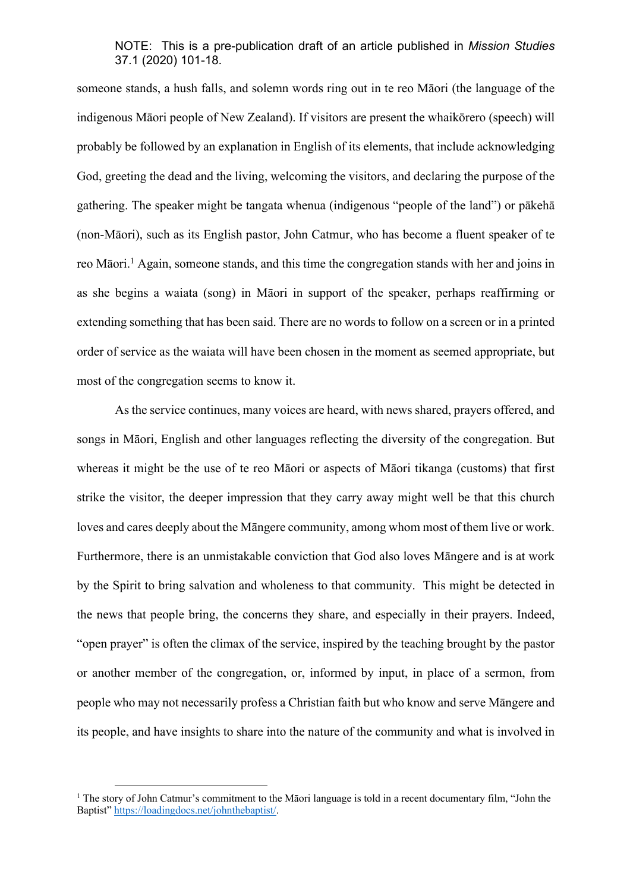someone stands, a hush falls, and solemn words ring out in te reo Māori (the language of the indigenous Māori people of New Zealand). If visitors are present the whaikōrero (speech) will probably be followed by an explanation in English of its elements, that include acknowledging God, greeting the dead and the living, welcoming the visitors, and declaring the purpose of the gathering. The speaker might be tangata whenua (indigenous "people of the land") or pākehā (non-Māori), such as its English pastor, John Catmur, who has become a fluent speaker of te reo Māori.1 Again, someone stands, and this time the congregation stands with her and joins in as she begins a waiata (song) in Māori in support of the speaker, perhaps reaffirming or extending something that has been said. There are no words to follow on a screen or in a printed order of service as the waiata will have been chosen in the moment as seemed appropriate, but most of the congregation seems to know it.

As the service continues, many voices are heard, with news shared, prayers offered, and songs in Māori, English and other languages reflecting the diversity of the congregation. But whereas it might be the use of te reo Māori or aspects of Māori tikanga (customs) that first strike the visitor, the deeper impression that they carry away might well be that this church loves and cares deeply about the Māngere community, among whom most of them live or work. Furthermore, there is an unmistakable conviction that God also loves Māngere and is at work by the Spirit to bring salvation and wholeness to that community. This might be detected in the news that people bring, the concerns they share, and especially in their prayers. Indeed, "open prayer" is often the climax of the service, inspired by the teaching brought by the pastor or another member of the congregation, or, informed by input, in place of a sermon, from people who may not necessarily profess a Christian faith but who know and serve Māngere and its people, and have insights to share into the nature of the community and what is involved in

<sup>&</sup>lt;sup>1</sup> The story of John Catmur's commitment to the Māori language is told in a recent documentary film, "John the Baptist" https://loadingdocs.net/johnthebaptist/.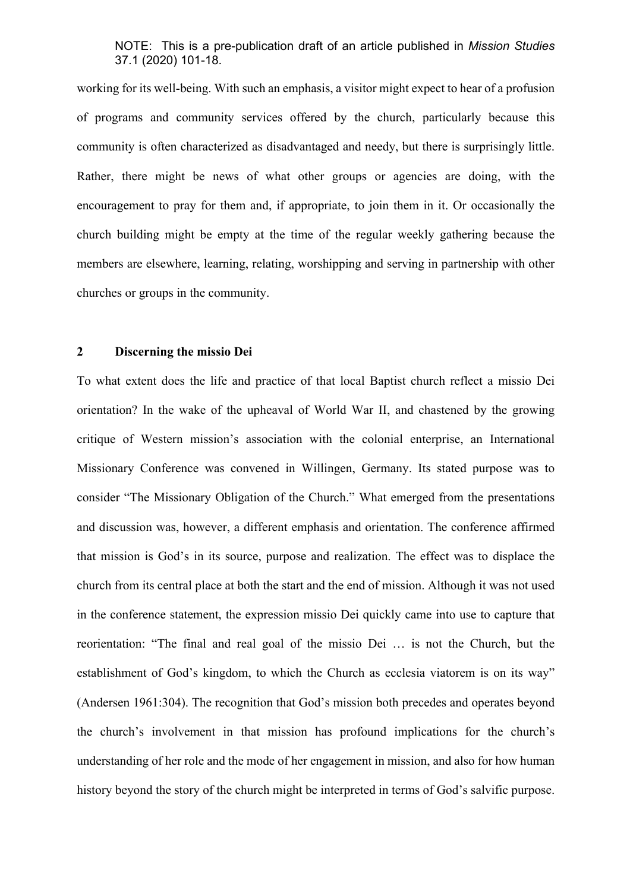working for its well-being. With such an emphasis, a visitor might expect to hear of a profusion of programs and community services offered by the church, particularly because this community is often characterized as disadvantaged and needy, but there is surprisingly little. Rather, there might be news of what other groups or agencies are doing, with the encouragement to pray for them and, if appropriate, to join them in it. Or occasionally the church building might be empty at the time of the regular weekly gathering because the members are elsewhere, learning, relating, worshipping and serving in partnership with other churches or groups in the community.

#### **2 Discerning the missio Dei**

To what extent does the life and practice of that local Baptist church reflect a missio Dei orientation? In the wake of the upheaval of World War II, and chastened by the growing critique of Western mission's association with the colonial enterprise, an International Missionary Conference was convened in Willingen, Germany. Its stated purpose was to consider "The Missionary Obligation of the Church." What emerged from the presentations and discussion was, however, a different emphasis and orientation. The conference affirmed that mission is God's in its source, purpose and realization. The effect was to displace the church from its central place at both the start and the end of mission. Although it was not used in the conference statement, the expression missio Dei quickly came into use to capture that reorientation: "The final and real goal of the missio Dei … is not the Church, but the establishment of God's kingdom, to which the Church as ecclesia viatorem is on its way" (Andersen 1961:304). The recognition that God's mission both precedes and operates beyond the church's involvement in that mission has profound implications for the church's understanding of her role and the mode of her engagement in mission, and also for how human history beyond the story of the church might be interpreted in terms of God's salvific purpose.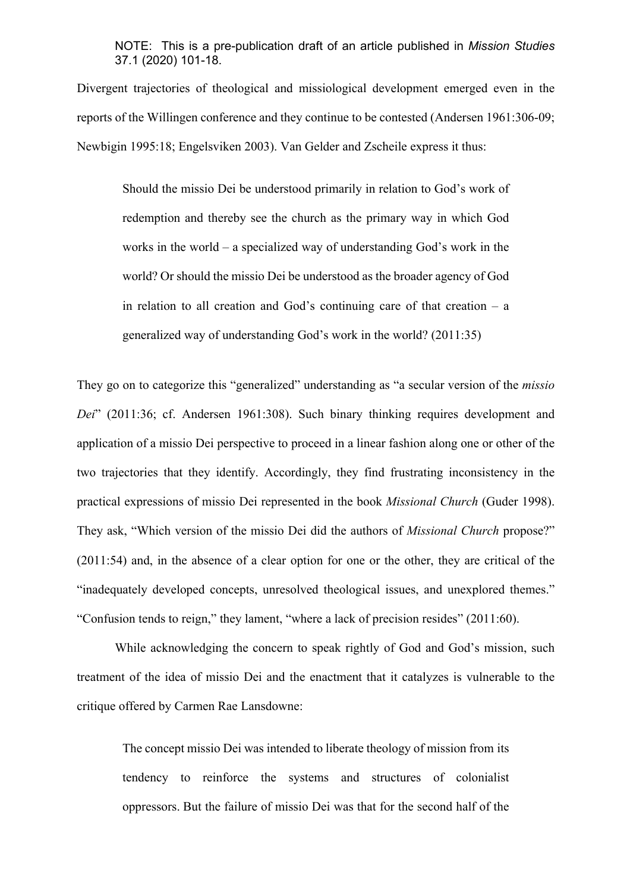Divergent trajectories of theological and missiological development emerged even in the reports of the Willingen conference and they continue to be contested (Andersen 1961:306-09; Newbigin 1995:18; Engelsviken 2003). Van Gelder and Zscheile express it thus:

Should the missio Dei be understood primarily in relation to God's work of redemption and thereby see the church as the primary way in which God works in the world – a specialized way of understanding God's work in the world? Or should the missio Dei be understood as the broader agency of God in relation to all creation and God's continuing care of that creation  $-$  a generalized way of understanding God's work in the world? (2011:35)

They go on to categorize this "generalized" understanding as "a secular version of the *missio Dei*" (2011:36; cf. Andersen 1961:308). Such binary thinking requires development and application of a missio Dei perspective to proceed in a linear fashion along one or other of the two trajectories that they identify. Accordingly, they find frustrating inconsistency in the practical expressions of missio Dei represented in the book *Missional Church* (Guder 1998). They ask, "Which version of the missio Dei did the authors of *Missional Church* propose?" (2011:54) and, in the absence of a clear option for one or the other, they are critical of the "inadequately developed concepts, unresolved theological issues, and unexplored themes." "Confusion tends to reign," they lament, "where a lack of precision resides" (2011:60).

While acknowledging the concern to speak rightly of God and God's mission, such treatment of the idea of missio Dei and the enactment that it catalyzes is vulnerable to the critique offered by Carmen Rae Lansdowne:

The concept missio Dei was intended to liberate theology of mission from its tendency to reinforce the systems and structures of colonialist oppressors. But the failure of missio Dei was that for the second half of the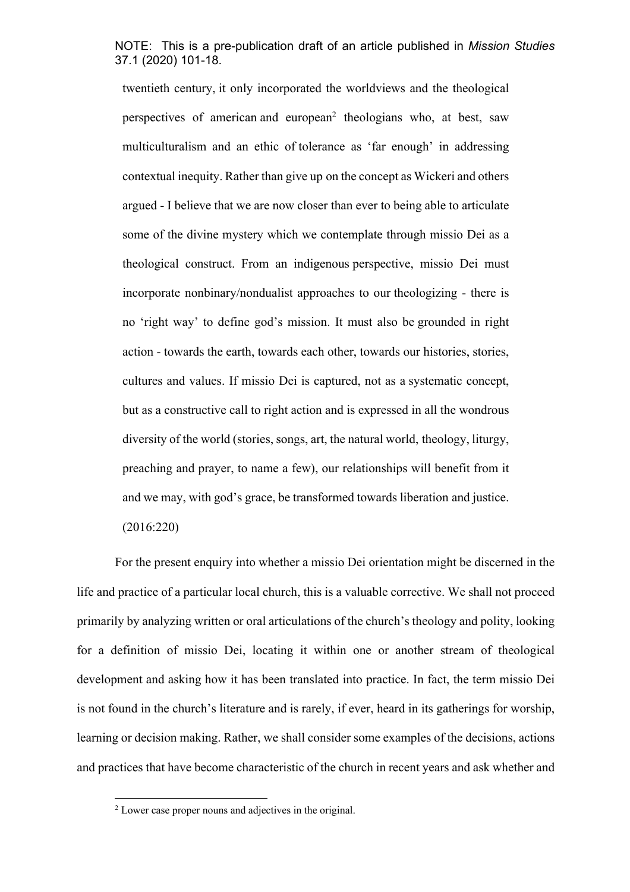twentieth century, it only incorporated the worldviews and the theological perspectives of american and european<sup>2</sup> theologians who, at best, saw multiculturalism and an ethic of tolerance as 'far enough' in addressing contextual inequity. Rather than give up on the concept as Wickeri and others argued - I believe that we are now closer than ever to being able to articulate some of the divine mystery which we contemplate through missio Dei as a theological construct. From an indigenous perspective, missio Dei must incorporate nonbinary/nondualist approaches to our theologizing - there is no 'right way' to define god's mission. It must also be grounded in right action - towards the earth, towards each other, towards our histories, stories, cultures and values. If missio Dei is captured, not as a systematic concept, but as a constructive call to right action and is expressed in all the wondrous diversity of the world (stories, songs, art, the natural world, theology, liturgy, preaching and prayer, to name a few), our relationships will benefit from it and we may, with god's grace, be transformed towards liberation and justice. (2016:220)

For the present enquiry into whether a missio Dei orientation might be discerned in the life and practice of a particular local church, this is a valuable corrective. We shall not proceed primarily by analyzing written or oral articulations of the church's theology and polity, looking for a definition of missio Dei, locating it within one or another stream of theological development and asking how it has been translated into practice. In fact, the term missio Dei is not found in the church's literature and is rarely, if ever, heard in its gatherings for worship, learning or decision making. Rather, we shall consider some examples of the decisions, actions and practices that have become characteristic of the church in recent years and ask whether and

<sup>&</sup>lt;sup>2</sup> Lower case proper nouns and adjectives in the original.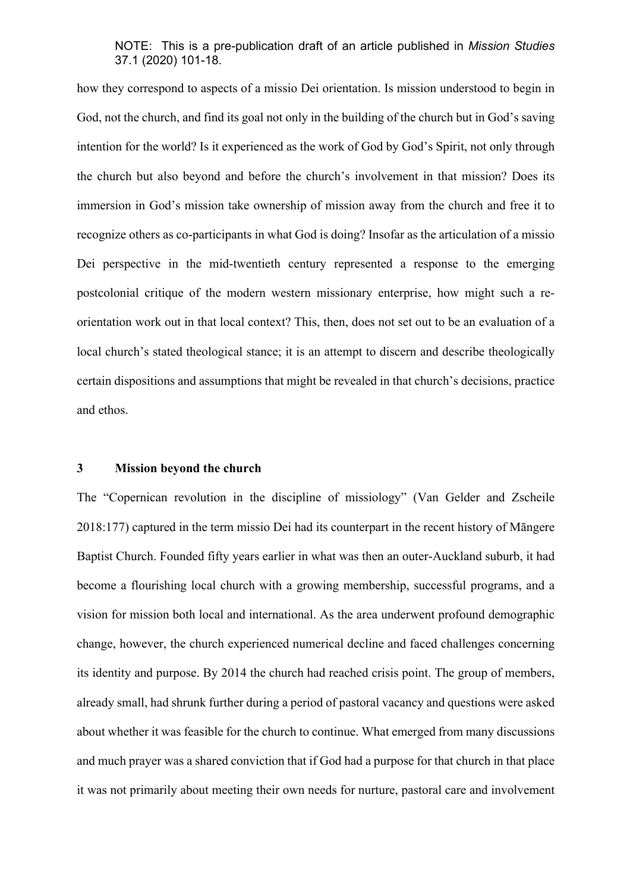how they correspond to aspects of a missio Dei orientation. Is mission understood to begin in God, not the church, and find its goal not only in the building of the church but in God's saving intention for the world? Is it experienced as the work of God by God's Spirit, not only through the church but also beyond and before the church's involvement in that mission? Does its immersion in God's mission take ownership of mission away from the church and free it to recognize others as co-participants in what God is doing? Insofar as the articulation of a missio Dei perspective in the mid-twentieth century represented a response to the emerging postcolonial critique of the modern western missionary enterprise, how might such a reorientation work out in that local context? This, then, does not set out to be an evaluation of a local church's stated theological stance; it is an attempt to discern and describe theologically certain dispositions and assumptions that might be revealed in that church's decisions, practice and ethos.

#### **3 Mission beyond the church**

The "Copernican revolution in the discipline of missiology" (Van Gelder and Zscheile 2018:177) captured in the term missio Dei had its counterpart in the recent history of Māngere Baptist Church. Founded fifty years earlier in what was then an outer-Auckland suburb, it had become a flourishing local church with a growing membership, successful programs, and a vision for mission both local and international. As the area underwent profound demographic change, however, the church experienced numerical decline and faced challenges concerning its identity and purpose. By 2014 the church had reached crisis point. The group of members, already small, had shrunk further during a period of pastoral vacancy and questions were asked about whether it was feasible for the church to continue. What emerged from many discussions and much prayer was a shared conviction that if God had a purpose for that church in that place it was not primarily about meeting their own needs for nurture, pastoral care and involvement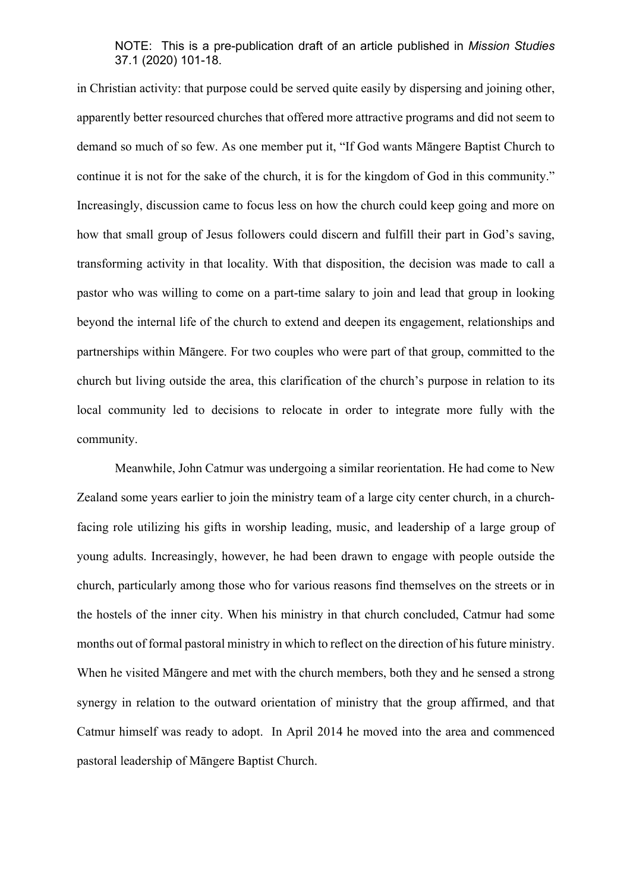in Christian activity: that purpose could be served quite easily by dispersing and joining other, apparently better resourced churches that offered more attractive programs and did not seem to demand so much of so few. As one member put it, "If God wants Māngere Baptist Church to continue it is not for the sake of the church, it is for the kingdom of God in this community." Increasingly, discussion came to focus less on how the church could keep going and more on how that small group of Jesus followers could discern and fulfill their part in God's saving, transforming activity in that locality. With that disposition, the decision was made to call a pastor who was willing to come on a part-time salary to join and lead that group in looking beyond the internal life of the church to extend and deepen its engagement, relationships and partnerships within Māngere. For two couples who were part of that group, committed to the church but living outside the area, this clarification of the church's purpose in relation to its local community led to decisions to relocate in order to integrate more fully with the community.

Meanwhile, John Catmur was undergoing a similar reorientation. He had come to New Zealand some years earlier to join the ministry team of a large city center church, in a churchfacing role utilizing his gifts in worship leading, music, and leadership of a large group of young adults. Increasingly, however, he had been drawn to engage with people outside the church, particularly among those who for various reasons find themselves on the streets or in the hostels of the inner city. When his ministry in that church concluded, Catmur had some months out of formal pastoral ministry in which to reflect on the direction of his future ministry. When he visited Māngere and met with the church members, both they and he sensed a strong synergy in relation to the outward orientation of ministry that the group affirmed, and that Catmur himself was ready to adopt. In April 2014 he moved into the area and commenced pastoral leadership of Māngere Baptist Church.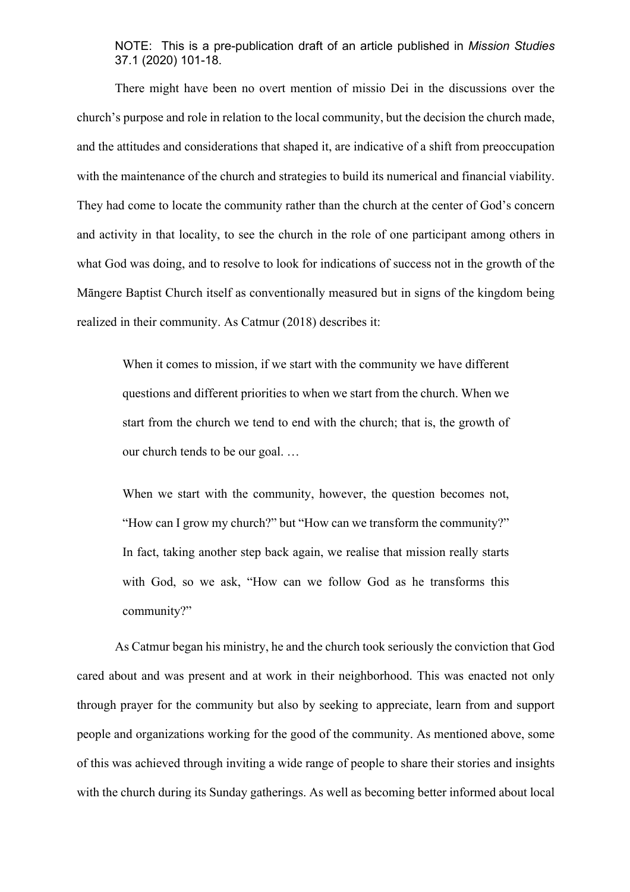There might have been no overt mention of missio Dei in the discussions over the church's purpose and role in relation to the local community, but the decision the church made, and the attitudes and considerations that shaped it, are indicative of a shift from preoccupation with the maintenance of the church and strategies to build its numerical and financial viability. They had come to locate the community rather than the church at the center of God's concern and activity in that locality, to see the church in the role of one participant among others in what God was doing, and to resolve to look for indications of success not in the growth of the Māngere Baptist Church itself as conventionally measured but in signs of the kingdom being realized in their community. As Catmur (2018) describes it:

When it comes to mission, if we start with the community we have different questions and different priorities to when we start from the church. When we start from the church we tend to end with the church; that is, the growth of our church tends to be our goal. …

When we start with the community, however, the question becomes not, "How can I grow my church?" but "How can we transform the community?" In fact, taking another step back again, we realise that mission really starts with God, so we ask, "How can we follow God as he transforms this community?"

As Catmur began his ministry, he and the church took seriously the conviction that God cared about and was present and at work in their neighborhood. This was enacted not only through prayer for the community but also by seeking to appreciate, learn from and support people and organizations working for the good of the community. As mentioned above, some of this was achieved through inviting a wide range of people to share their stories and insights with the church during its Sunday gatherings. As well as becoming better informed about local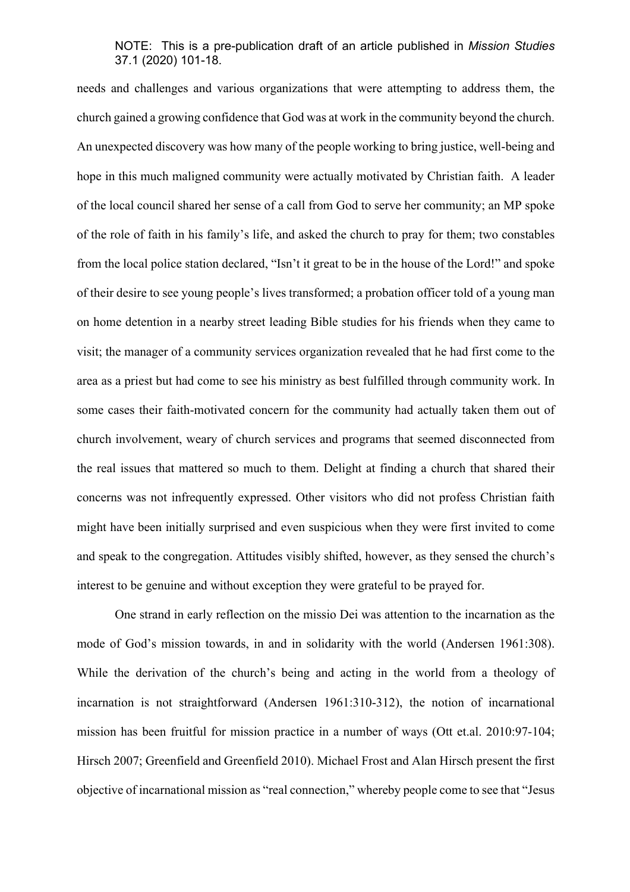needs and challenges and various organizations that were attempting to address them, the church gained a growing confidence that God was at work in the community beyond the church. An unexpected discovery was how many of the people working to bring justice, well-being and hope in this much maligned community were actually motivated by Christian faith. A leader of the local council shared her sense of a call from God to serve her community; an MP spoke of the role of faith in his family's life, and asked the church to pray for them; two constables from the local police station declared, "Isn't it great to be in the house of the Lord!" and spoke of their desire to see young people's lives transformed; a probation officer told of a young man on home detention in a nearby street leading Bible studies for his friends when they came to visit; the manager of a community services organization revealed that he had first come to the area as a priest but had come to see his ministry as best fulfilled through community work. In some cases their faith-motivated concern for the community had actually taken them out of church involvement, weary of church services and programs that seemed disconnected from the real issues that mattered so much to them. Delight at finding a church that shared their concerns was not infrequently expressed. Other visitors who did not profess Christian faith might have been initially surprised and even suspicious when they were first invited to come and speak to the congregation. Attitudes visibly shifted, however, as they sensed the church's interest to be genuine and without exception they were grateful to be prayed for.

One strand in early reflection on the missio Dei was attention to the incarnation as the mode of God's mission towards, in and in solidarity with the world (Andersen 1961:308). While the derivation of the church's being and acting in the world from a theology of incarnation is not straightforward (Andersen 1961:310-312), the notion of incarnational mission has been fruitful for mission practice in a number of ways (Ott et.al. 2010:97-104; Hirsch 2007; Greenfield and Greenfield 2010). Michael Frost and Alan Hirsch present the first objective of incarnational mission as "real connection," whereby people come to see that "Jesus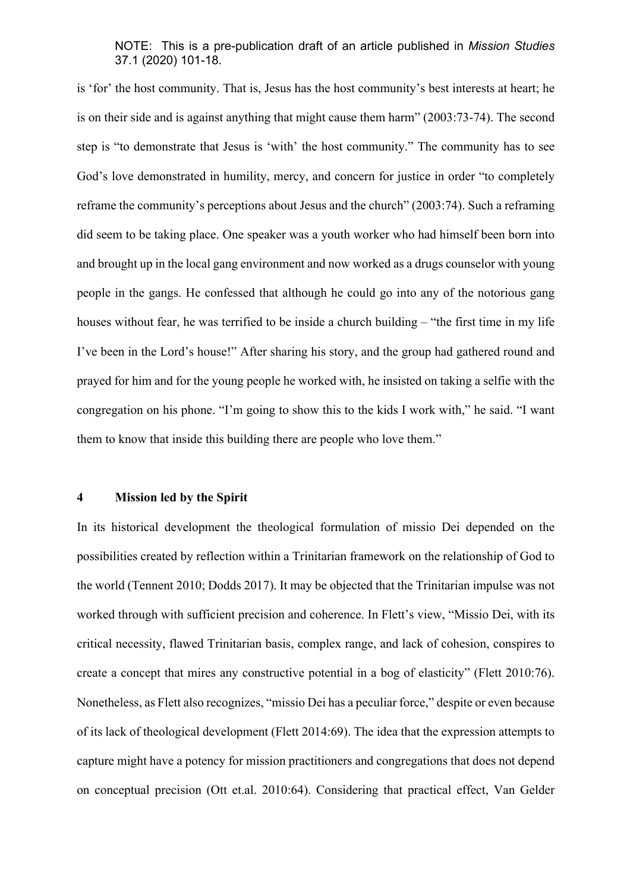is 'for' the host community. That is, Jesus has the host community's best interests at heart; he is on their side and is against anything that might cause them harm" (2003:73-74). The second step is "to demonstrate that Jesus is 'with' the host community." The community has to see God's love demonstrated in humility, mercy, and concern for justice in order "to completely reframe the community's perceptions about Jesus and the church" (2003:74). Such a reframing did seem to be taking place. One speaker was a youth worker who had himself been born into and brought up in the local gang environment and now worked as a drugs counselor with young people in the gangs. He confessed that although he could go into any of the notorious gang houses without fear, he was terrified to be inside a church building – "the first time in my life I've been in the Lord's house!" After sharing his story, and the group had gathered round and prayed for him and for the young people he worked with, he insisted on taking a selfie with the congregation on his phone. "I'm going to show this to the kids I work with," he said. "I want them to know that inside this building there are people who love them."

#### **4 Mission led by the Spirit**

In its historical development the theological formulation of missio Dei depended on the possibilities created by reflection within a Trinitarian framework on the relationship of God to the world (Tennent 2010; Dodds 2017). It may be objected that the Trinitarian impulse was not worked through with sufficient precision and coherence. In Flett's view, "Missio Dei, with its critical necessity, flawed Trinitarian basis, complex range, and lack of cohesion, conspires to create a concept that mires any constructive potential in a bog of elasticity" (Flett 2010:76). Nonetheless, as Flett also recognizes, "missio Dei has a peculiar force," despite or even because of its lack of theological development (Flett 2014:69). The idea that the expression attempts to capture might have a potency for mission practitioners and congregations that does not depend on conceptual precision (Ott et.al. 2010:64). Considering that practical effect, Van Gelder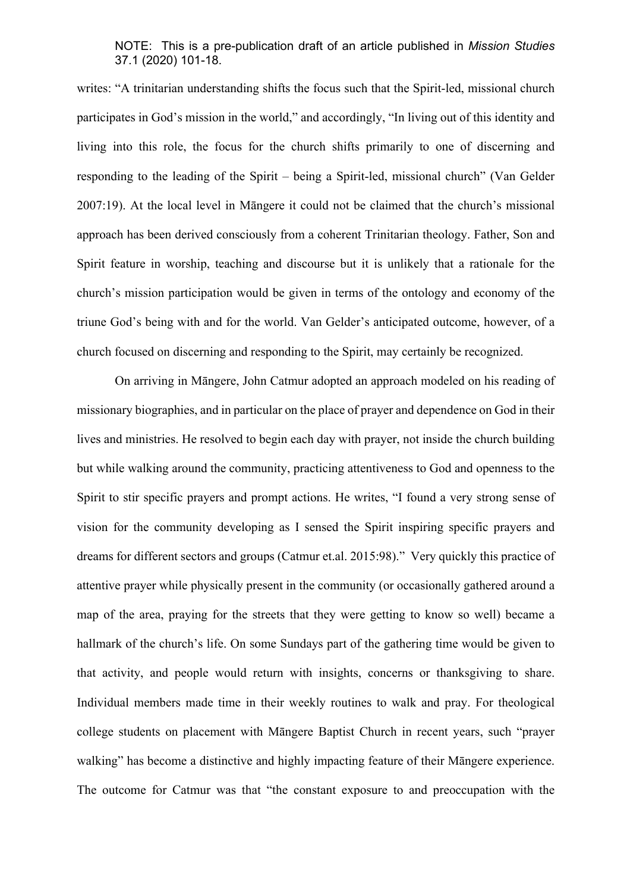writes: "A trinitarian understanding shifts the focus such that the Spirit-led, missional church participates in God's mission in the world," and accordingly, "In living out of this identity and living into this role, the focus for the church shifts primarily to one of discerning and responding to the leading of the Spirit – being a Spirit-led, missional church" (Van Gelder 2007:19). At the local level in Māngere it could not be claimed that the church's missional approach has been derived consciously from a coherent Trinitarian theology. Father, Son and Spirit feature in worship, teaching and discourse but it is unlikely that a rationale for the church's mission participation would be given in terms of the ontology and economy of the triune God's being with and for the world. Van Gelder's anticipated outcome, however, of a church focused on discerning and responding to the Spirit, may certainly be recognized.

On arriving in Māngere, John Catmur adopted an approach modeled on his reading of missionary biographies, and in particular on the place of prayer and dependence on God in their lives and ministries. He resolved to begin each day with prayer, not inside the church building but while walking around the community, practicing attentiveness to God and openness to the Spirit to stir specific prayers and prompt actions. He writes, "I found a very strong sense of vision for the community developing as I sensed the Spirit inspiring specific prayers and dreams for different sectors and groups (Catmur et.al. 2015:98)." Very quickly this practice of attentive prayer while physically present in the community (or occasionally gathered around a map of the area, praying for the streets that they were getting to know so well) became a hallmark of the church's life. On some Sundays part of the gathering time would be given to that activity, and people would return with insights, concerns or thanksgiving to share. Individual members made time in their weekly routines to walk and pray. For theological college students on placement with Māngere Baptist Church in recent years, such "prayer walking" has become a distinctive and highly impacting feature of their Māngere experience. The outcome for Catmur was that "the constant exposure to and preoccupation with the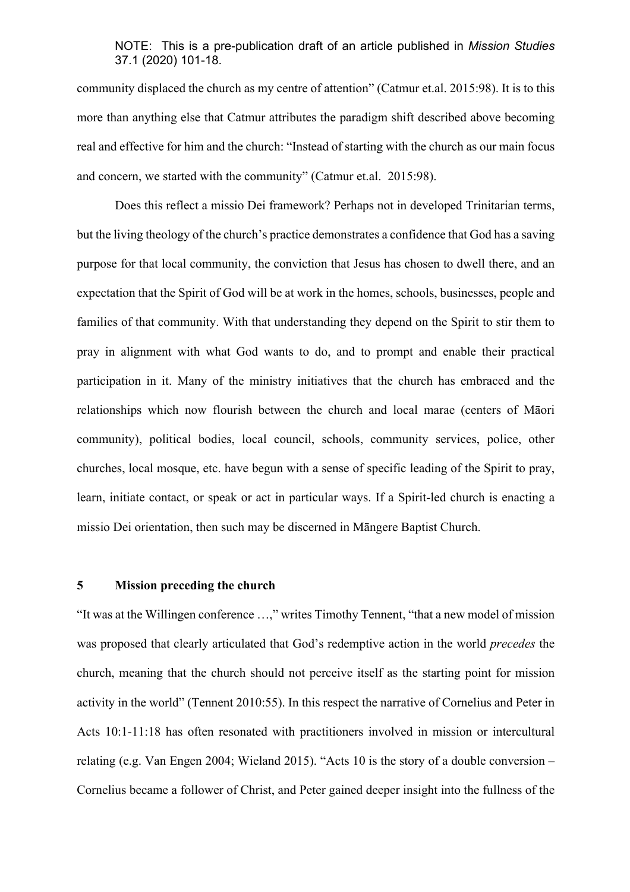community displaced the church as my centre of attention" (Catmur et.al. 2015:98). It is to this more than anything else that Catmur attributes the paradigm shift described above becoming real and effective for him and the church: "Instead of starting with the church as our main focus and concern, we started with the community" (Catmur et.al. 2015:98).

Does this reflect a missio Dei framework? Perhaps not in developed Trinitarian terms, but the living theology of the church's practice demonstrates a confidence that God has a saving purpose for that local community, the conviction that Jesus has chosen to dwell there, and an expectation that the Spirit of God will be at work in the homes, schools, businesses, people and families of that community. With that understanding they depend on the Spirit to stir them to pray in alignment with what God wants to do, and to prompt and enable their practical participation in it. Many of the ministry initiatives that the church has embraced and the relationships which now flourish between the church and local marae (centers of Māori community), political bodies, local council, schools, community services, police, other churches, local mosque, etc. have begun with a sense of specific leading of the Spirit to pray, learn, initiate contact, or speak or act in particular ways. If a Spirit-led church is enacting a missio Dei orientation, then such may be discerned in Māngere Baptist Church.

#### **5 Mission preceding the church**

"It was at the Willingen conference …," writes Timothy Tennent, "that a new model of mission was proposed that clearly articulated that God's redemptive action in the world *precedes* the church, meaning that the church should not perceive itself as the starting point for mission activity in the world" (Tennent 2010:55). In this respect the narrative of Cornelius and Peter in Acts 10:1-11:18 has often resonated with practitioners involved in mission or intercultural relating (e.g. Van Engen 2004; Wieland 2015). "Acts 10 is the story of a double conversion – Cornelius became a follower of Christ, and Peter gained deeper insight into the fullness of the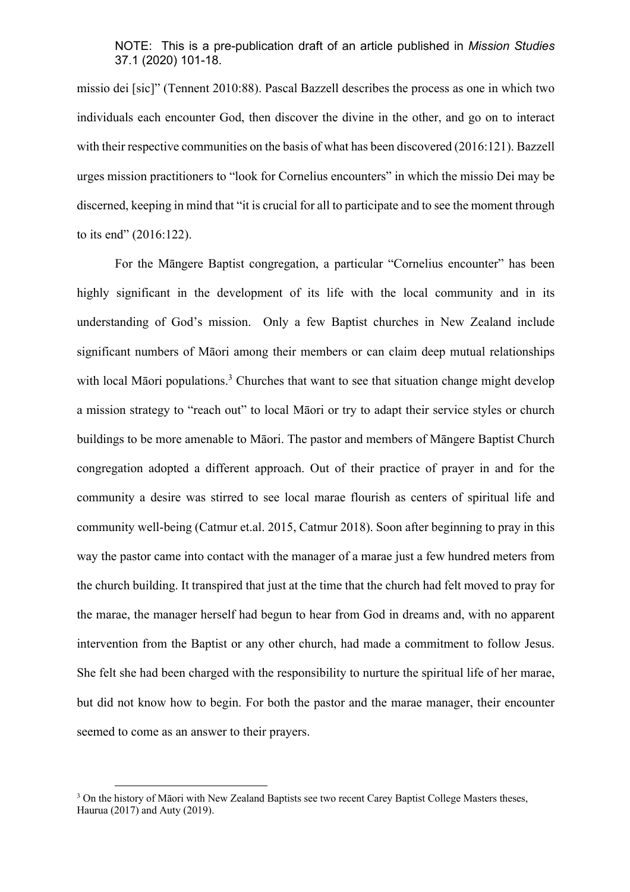missio dei [sic]" (Tennent 2010:88). Pascal Bazzell describes the process as one in which two individuals each encounter God, then discover the divine in the other, and go on to interact with their respective communities on the basis of what has been discovered (2016:121). Bazzell urges mission practitioners to "look for Cornelius encounters" in which the missio Dei may be discerned, keeping in mind that "it is crucial for all to participate and to see the moment through to its end" (2016:122).

For the Māngere Baptist congregation, a particular "Cornelius encounter" has been highly significant in the development of its life with the local community and in its understanding of God's mission. Only a few Baptist churches in New Zealand include significant numbers of Māori among their members or can claim deep mutual relationships with local Māori populations.<sup>3</sup> Churches that want to see that situation change might develop a mission strategy to "reach out" to local Māori or try to adapt their service styles or church buildings to be more amenable to Māori. The pastor and members of Māngere Baptist Church congregation adopted a different approach. Out of their practice of prayer in and for the community a desire was stirred to see local marae flourish as centers of spiritual life and community well-being (Catmur et.al. 2015, Catmur 2018). Soon after beginning to pray in this way the pastor came into contact with the manager of a marae just a few hundred meters from the church building. It transpired that just at the time that the church had felt moved to pray for the marae, the manager herself had begun to hear from God in dreams and, with no apparent intervention from the Baptist or any other church, had made a commitment to follow Jesus. She felt she had been charged with the responsibility to nurture the spiritual life of her marae, but did not know how to begin. For both the pastor and the marae manager, their encounter seemed to come as an answer to their prayers.

<sup>&</sup>lt;sup>3</sup> On the history of Māori with New Zealand Baptists see two recent Carey Baptist College Masters theses, Haurua (2017) and Auty (2019).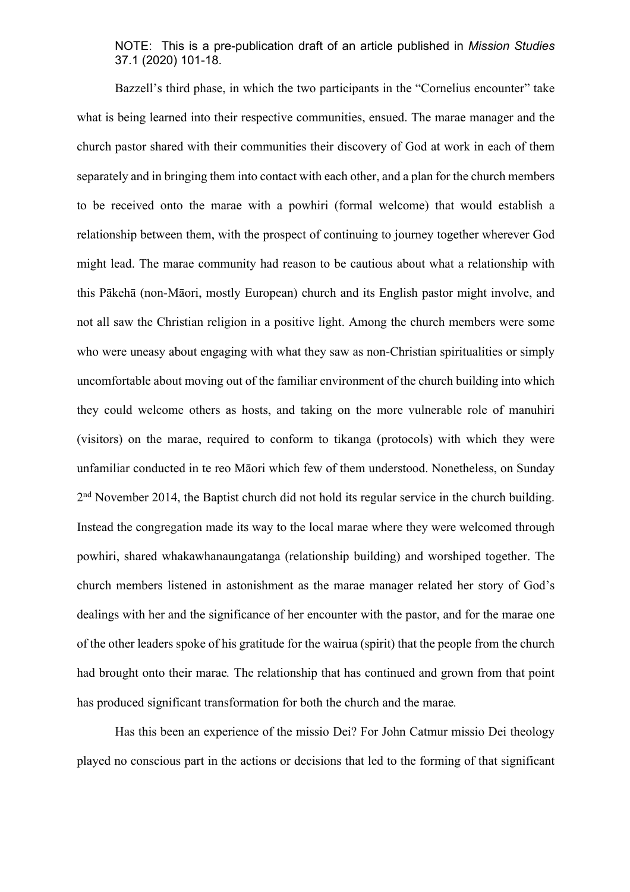Bazzell's third phase, in which the two participants in the "Cornelius encounter" take what is being learned into their respective communities, ensued. The marae manager and the church pastor shared with their communities their discovery of God at work in each of them separately and in bringing them into contact with each other, and a plan for the church members to be received onto the marae with a powhiri (formal welcome) that would establish a relationship between them, with the prospect of continuing to journey together wherever God might lead. The marae community had reason to be cautious about what a relationship with this Pākehā (non-Māori, mostly European) church and its English pastor might involve, and not all saw the Christian religion in a positive light. Among the church members were some who were uneasy about engaging with what they saw as non-Christian spiritualities or simply uncomfortable about moving out of the familiar environment of the church building into which they could welcome others as hosts, and taking on the more vulnerable role of manuhiri (visitors) on the marae, required to conform to tikanga (protocols) with which they were unfamiliar conducted in te reo Māori which few of them understood. Nonetheless, on Sunday 2<sup>nd</sup> November 2014, the Baptist church did not hold its regular service in the church building. Instead the congregation made its way to the local marae where they were welcomed through powhiri, shared whakawhanaungatanga (relationship building) and worshiped together. The church members listened in astonishment as the marae manager related her story of God's dealings with her and the significance of her encounter with the pastor, and for the marae one of the other leaders spoke of his gratitude for the wairua (spirit) that the people from the church had brought onto their marae*.* The relationship that has continued and grown from that point has produced significant transformation for both the church and the marae*.* 

Has this been an experience of the missio Dei? For John Catmur missio Dei theology played no conscious part in the actions or decisions that led to the forming of that significant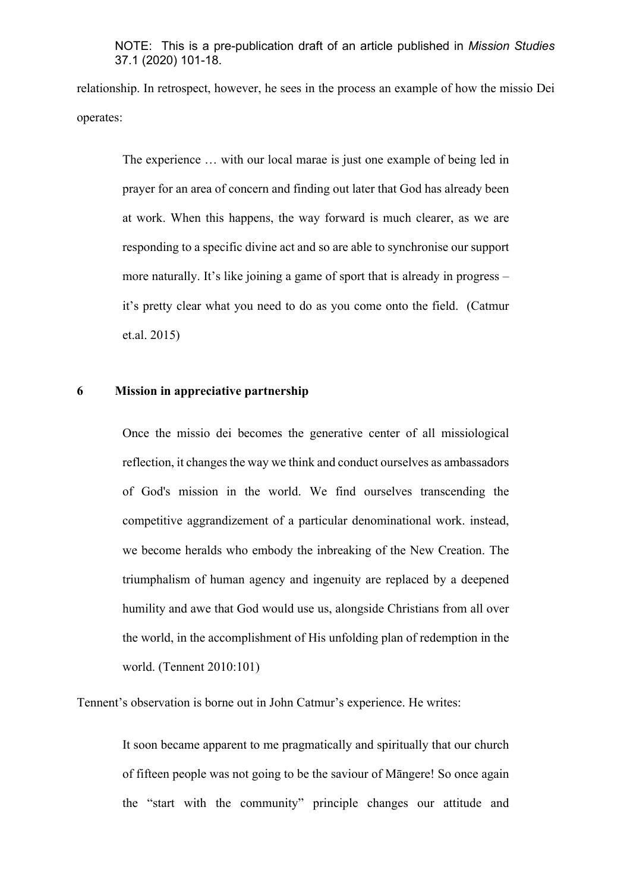relationship. In retrospect, however, he sees in the process an example of how the missio Dei operates:

The experience … with our local marae is just one example of being led in prayer for an area of concern and finding out later that God has already been at work. When this happens, the way forward is much clearer, as we are responding to a specific divine act and so are able to synchronise our support more naturally. It's like joining a game of sport that is already in progress – it's pretty clear what you need to do as you come onto the field. (Catmur et.al. 2015)

### **6 Mission in appreciative partnership**

Once the missio dei becomes the generative center of all missiological reflection, it changes the way we think and conduct ourselves as ambassadors of God's mission in the world. We find ourselves transcending the competitive aggrandizement of a particular denominational work. instead, we become heralds who embody the inbreaking of the New Creation. The triumphalism of human agency and ingenuity are replaced by a deepened humility and awe that God would use us, alongside Christians from all over the world, in the accomplishment of His unfolding plan of redemption in the world. (Tennent 2010:101)

Tennent's observation is borne out in John Catmur's experience. He writes:

It soon became apparent to me pragmatically and spiritually that our church of fifteen people was not going to be the saviour of Māngere! So once again the "start with the community" principle changes our attitude and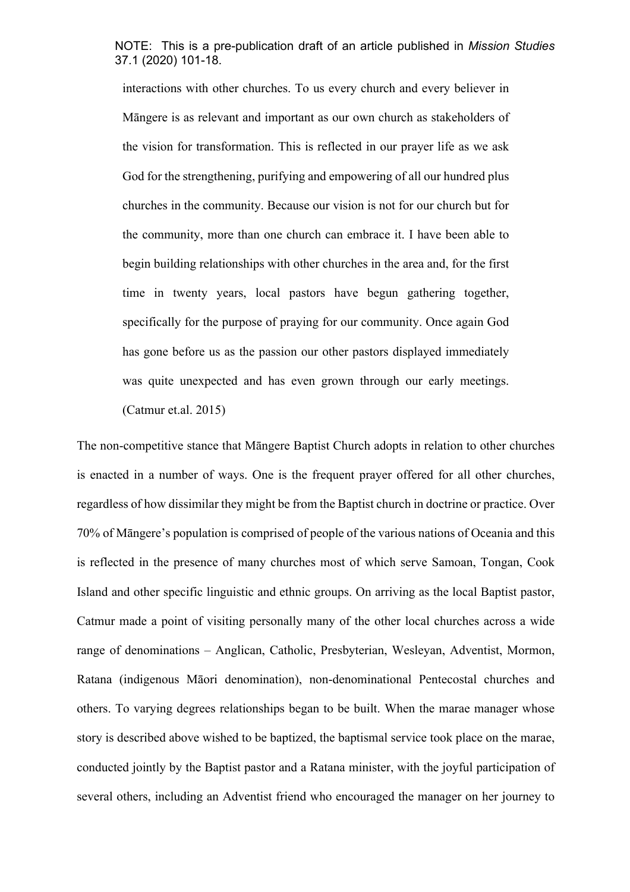interactions with other churches. To us every church and every believer in Māngere is as relevant and important as our own church as stakeholders of the vision for transformation. This is reflected in our prayer life as we ask God for the strengthening, purifying and empowering of all our hundred plus churches in the community. Because our vision is not for our church but for the community, more than one church can embrace it. I have been able to begin building relationships with other churches in the area and, for the first time in twenty years, local pastors have begun gathering together, specifically for the purpose of praying for our community. Once again God has gone before us as the passion our other pastors displayed immediately was quite unexpected and has even grown through our early meetings. (Catmur et.al. 2015)

The non-competitive stance that Māngere Baptist Church adopts in relation to other churches is enacted in a number of ways. One is the frequent prayer offered for all other churches, regardless of how dissimilar they might be from the Baptist church in doctrine or practice. Over 70% of Māngere's population is comprised of people of the various nations of Oceania and this is reflected in the presence of many churches most of which serve Samoan, Tongan, Cook Island and other specific linguistic and ethnic groups. On arriving as the local Baptist pastor, Catmur made a point of visiting personally many of the other local churches across a wide range of denominations – Anglican, Catholic, Presbyterian, Wesleyan, Adventist, Mormon, Ratana (indigenous Māori denomination), non-denominational Pentecostal churches and others. To varying degrees relationships began to be built. When the marae manager whose story is described above wished to be baptized, the baptismal service took place on the marae, conducted jointly by the Baptist pastor and a Ratana minister, with the joyful participation of several others, including an Adventist friend who encouraged the manager on her journey to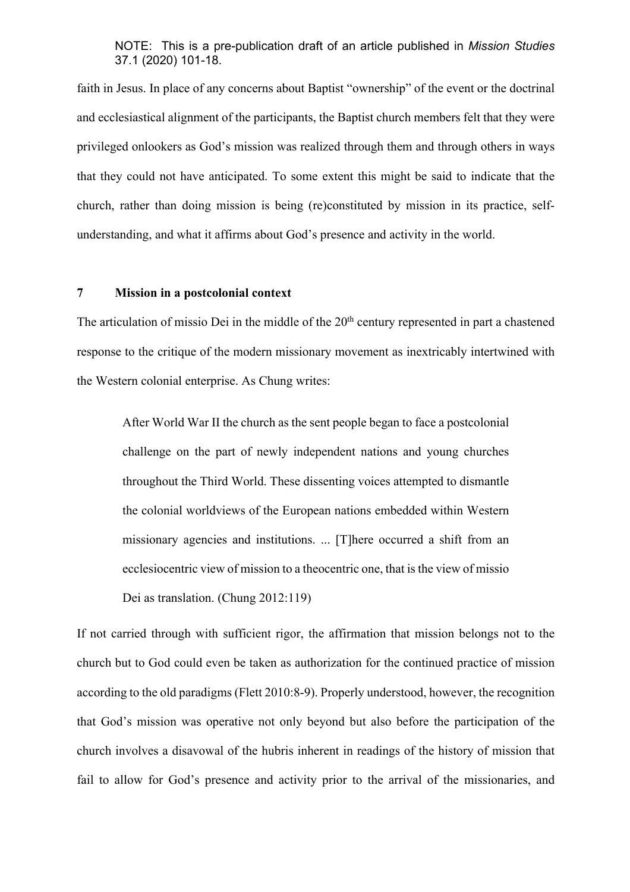faith in Jesus. In place of any concerns about Baptist "ownership" of the event or the doctrinal and ecclesiastical alignment of the participants, the Baptist church members felt that they were privileged onlookers as God's mission was realized through them and through others in ways that they could not have anticipated. To some extent this might be said to indicate that the church, rather than doing mission is being (re)constituted by mission in its practice, selfunderstanding, and what it affirms about God's presence and activity in the world.

#### **7 Mission in a postcolonial context**

The articulation of missio Dei in the middle of the 20<sup>th</sup> century represented in part a chastened response to the critique of the modern missionary movement as inextricably intertwined with the Western colonial enterprise. As Chung writes:

After World War II the church as the sent people began to face a postcolonial challenge on the part of newly independent nations and young churches throughout the Third World. These dissenting voices attempted to dismantle the colonial worldviews of the European nations embedded within Western missionary agencies and institutions. ... [T]here occurred a shift from an ecclesiocentric view of mission to a theocentric one, that is the view of missio Dei as translation. (Chung 2012:119)

If not carried through with sufficient rigor, the affirmation that mission belongs not to the church but to God could even be taken as authorization for the continued practice of mission according to the old paradigms (Flett 2010:8-9). Properly understood, however, the recognition that God's mission was operative not only beyond but also before the participation of the church involves a disavowal of the hubris inherent in readings of the history of mission that fail to allow for God's presence and activity prior to the arrival of the missionaries, and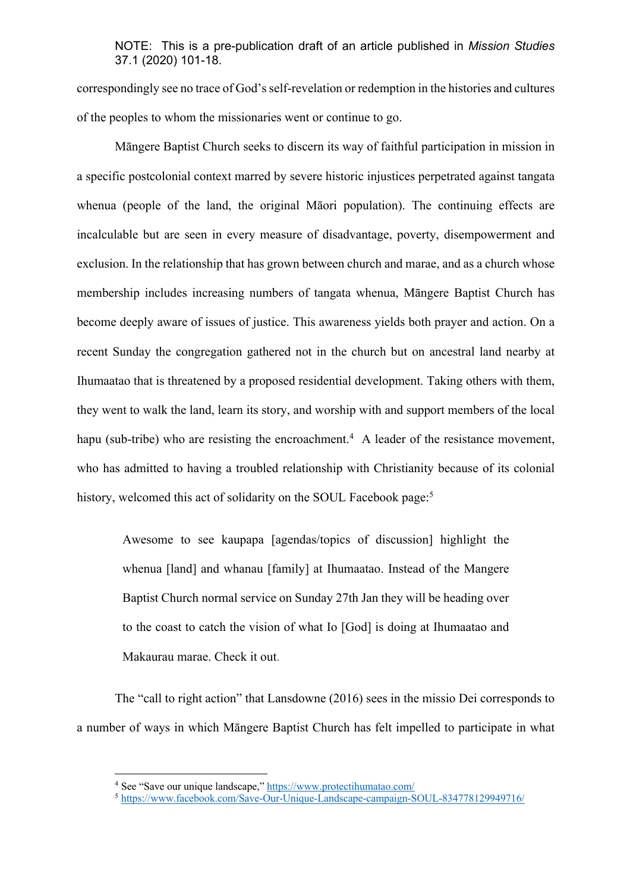correspondingly see no trace of God's self-revelation or redemption in the histories and cultures of the peoples to whom the missionaries went or continue to go.

Māngere Baptist Church seeks to discern its way of faithful participation in mission in a specific postcolonial context marred by severe historic injustices perpetrated against tangata whenua (people of the land, the original Māori population). The continuing effects are incalculable but are seen in every measure of disadvantage, poverty, disempowerment and exclusion. In the relationship that has grown between church and marae, and as a church whose membership includes increasing numbers of tangata whenua, Māngere Baptist Church has become deeply aware of issues of justice. This awareness yields both prayer and action. On a recent Sunday the congregation gathered not in the church but on ancestral land nearby at Ihumaatao that is threatened by a proposed residential development. Taking others with them, they went to walk the land, learn its story, and worship with and support members of the local hapu (sub-tribe) who are resisting the encroachment.<sup>4</sup> A leader of the resistance movement, who has admitted to having a troubled relationship with Christianity because of its colonial history, welcomed this act of solidarity on the SOUL Facebook page:<sup>5</sup>

Awesome to see kaupapa [agendas/topics of discussion] highlight the whenua [land] and whanau [family] at Ihumaatao. Instead of the Mangere Baptist Church normal service on Sunday 27th Jan they will be heading over to the coast to catch the vision of what Io [God] is doing at Ihumaatao and Makaurau marae. Check it out.

The "call to right action" that Lansdowne (2016) sees in the missio Dei corresponds to a number of ways in which Māngere Baptist Church has felt impelled to participate in what

<sup>4</sup> See "Save our unique landscape," https://www.protectihumatao.com/

<sup>5</sup> https://www.facebook.com/Save-Our-Unique-Landscape-campaign-SOUL-834778129949716/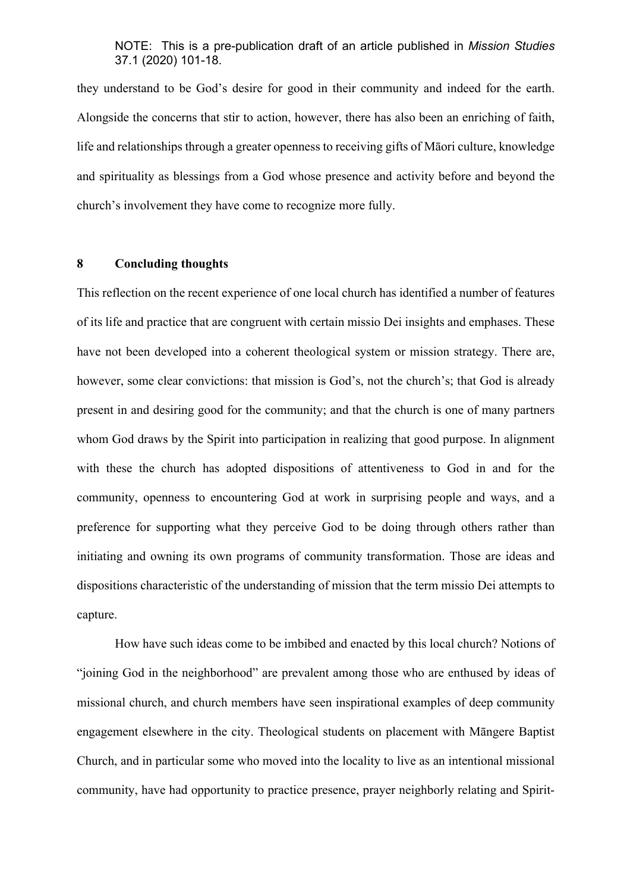they understand to be God's desire for good in their community and indeed for the earth. Alongside the concerns that stir to action, however, there has also been an enriching of faith, life and relationships through a greater openness to receiving gifts of Māori culture, knowledge and spirituality as blessings from a God whose presence and activity before and beyond the church's involvement they have come to recognize more fully.

### **8 Concluding thoughts**

This reflection on the recent experience of one local church has identified a number of features of its life and practice that are congruent with certain missio Dei insights and emphases. These have not been developed into a coherent theological system or mission strategy. There are, however, some clear convictions: that mission is God's, not the church's; that God is already present in and desiring good for the community; and that the church is one of many partners whom God draws by the Spirit into participation in realizing that good purpose. In alignment with these the church has adopted dispositions of attentiveness to God in and for the community, openness to encountering God at work in surprising people and ways, and a preference for supporting what they perceive God to be doing through others rather than initiating and owning its own programs of community transformation. Those are ideas and dispositions characteristic of the understanding of mission that the term missio Dei attempts to capture.

How have such ideas come to be imbibed and enacted by this local church? Notions of "joining God in the neighborhood" are prevalent among those who are enthused by ideas of missional church, and church members have seen inspirational examples of deep community engagement elsewhere in the city. Theological students on placement with Māngere Baptist Church, and in particular some who moved into the locality to live as an intentional missional community, have had opportunity to practice presence, prayer neighborly relating and Spirit-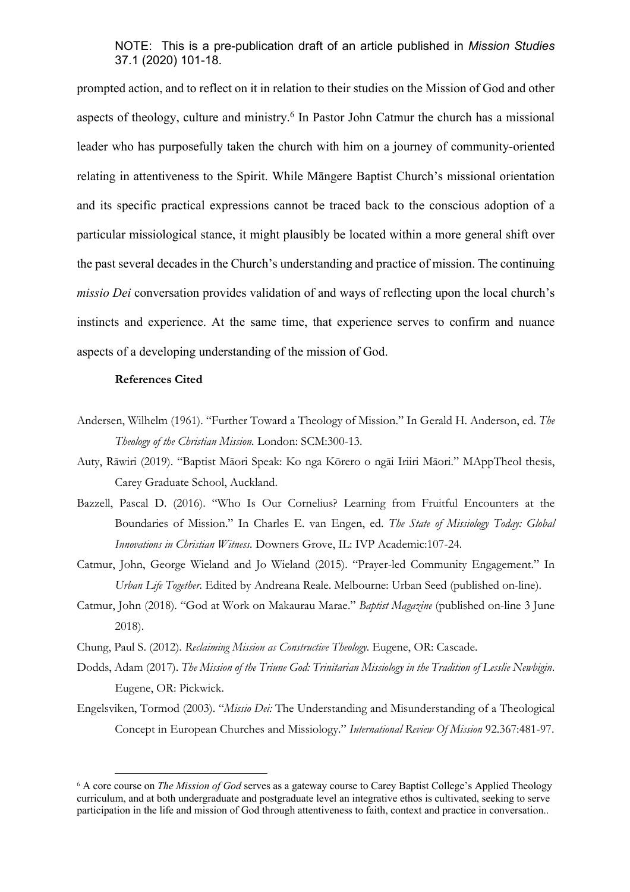prompted action, and to reflect on it in relation to their studies on the Mission of God and other aspects of theology, culture and ministry.<sup>6</sup> In Pastor John Catmur the church has a missional leader who has purposefully taken the church with him on a journey of community-oriented relating in attentiveness to the Spirit. While Māngere Baptist Church's missional orientation and its specific practical expressions cannot be traced back to the conscious adoption of a particular missiological stance, it might plausibly be located within a more general shift over the past several decades in the Church's understanding and practice of mission. The continuing *missio Dei* conversation provides validation of and ways of reflecting upon the local church's instincts and experience. At the same time, that experience serves to confirm and nuance aspects of a developing understanding of the mission of God.

#### **References Cited**

- Andersen, Wilhelm (1961). "Further Toward a Theology of Mission." In Gerald H. Anderson, ed. *The Theology of the Christian Mission.* London: SCM:300-13.
- Auty, Rāwiri (2019). "Baptist Māori Speak: Ko nga Kōrero o ngāi Iriiri Māori." MAppTheol thesis, Carey Graduate School, Auckland.
- Bazzell, Pascal D. (2016). "Who Is Our Cornelius? Learning from Fruitful Encounters at the Boundaries of Mission." In Charles E. van Engen, ed. *The State of Missiology Today: Global Innovations in Christian Witness.* Downers Grove, IL: IVP Academic:107-24.
- Catmur, John, George Wieland and Jo Wieland (2015). "Prayer-led Community Engagement." In *Urban Life Together.* Edited by Andreana Reale. Melbourne: Urban Seed (published on-line).
- Catmur, John (2018). "God at Work on Makaurau Marae." *Baptist Magazine* (published on-line 3 June 2018).
- Chung, Paul S. (2012). *Reclaiming Mission as Constructive Theology.* Eugene, OR: Cascade.
- Dodds, Adam (2017). *The Mission of the Triune God: Trinitarian Missiology in the Tradition of Lesslie Newbigin*. Eugene, OR: Pickwick.
- Engelsviken, Tormod (2003). "*Missio Dei:* The Understanding and Misunderstanding of a Theological Concept in European Churches and Missiology." *International Review Of Mission* 92.367:481-97.

<sup>6</sup> A core course on *The Mission of God* serves as a gateway course to Carey Baptist College's Applied Theology curriculum, and at both undergraduate and postgraduate level an integrative ethos is cultivated, seeking to serve participation in the life and mission of God through attentiveness to faith, context and practice in conversation..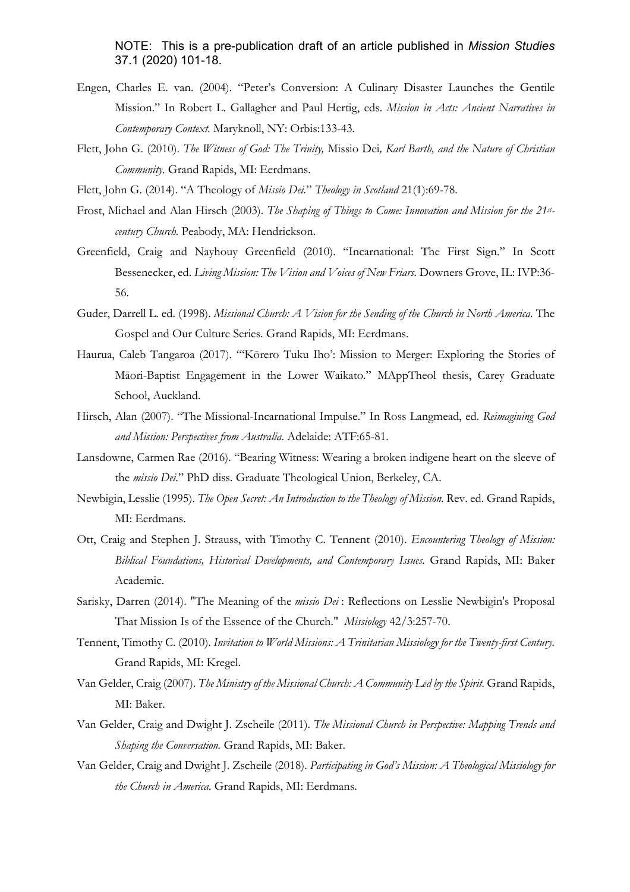- Engen, Charles E. van. (2004). "Peter's Conversion: A Culinary Disaster Launches the Gentile Mission." In Robert L. Gallagher and Paul Hertig, eds. *Mission in Acts: Ancient Narratives in Contemporary Context.* Maryknoll, NY: Orbis:133-43.
- Flett, John G. (2010). *The Witness of God: The Trinity,* Missio Dei*, Karl Barth, and the Nature of Christian Community.* Grand Rapids, MI: Eerdmans.
- Flett, John G. (2014). "A Theology of *Missio Dei.*" *Theology in Scotland* 21(1):69-78.
- Frost, Michael and Alan Hirsch (2003). *The Shaping of Things to Come: Innovation and Mission for the 21stcentury Church.* Peabody, MA: Hendrickson.
- Greenfield, Craig and Nayhouy Greenfield (2010). "Incarnational: The First Sign." In Scott Bessenecker, ed. *Living Mission: The Vision and Voices of New Friars.* Downers Grove, IL: IVP:36- 56.
- Guder, Darrell L. ed. (1998). *Missional Church: A Vision for the Sending of the Church in North America.* The Gospel and Our Culture Series. Grand Rapids, MI: Eerdmans.
- Haurua, Caleb Tangaroa (2017). "'Kōrero Tuku Iho': Mission to Merger: Exploring the Stories of Māori-Baptist Engagement in the Lower Waikato." MAppTheol thesis, Carey Graduate School, Auckland.
- Hirsch, Alan (2007). "The Missional-Incarnational Impulse." In Ross Langmead, ed. *Reimagining God and Mission: Perspectives from Australia.* Adelaide: ATF:65-81.
- Lansdowne, Carmen Rae (2016). "Bearing Witness: Wearing a broken indigene heart on the sleeve of the *missio Dei.*" PhD diss. Graduate Theological Union, Berkeley, CA.
- Newbigin, Lesslie (1995). *The Open Secret: An Introduction to the Theology of Mission.* Rev. ed. Grand Rapids, MI: Eerdmans.
- Ott, Craig and Stephen J. Strauss, with Timothy C. Tennent (2010). *Encountering Theology of Mission: Biblical Foundations, Historical Developments, and Contemporary Issues.* Grand Rapids, MI: Baker Academic.
- Sarisky, Darren (2014). "The Meaning of the *missio Dei* : Reflections on Lesslie Newbigin's Proposal That Mission Is of the Essence of the Church." *Missiology* 42/3:257-70.
- Tennent, Timothy C. (2010). *Invitation to World Missions: A Trinitarian Missiology for the Twenty-first Century.*  Grand Rapids, MI: Kregel.
- Van Gelder, Craig (2007). *The Ministry of the Missional Church: A Community Led by the Spirit.* Grand Rapids, MI: Baker.
- Van Gelder, Craig and Dwight J. Zscheile (2011). *The Missional Church in Perspective: Mapping Trends and Shaping the Conversation.* Grand Rapids, MI: Baker.
- Van Gelder, Craig and Dwight J. Zscheile (2018). *Participating in God's Mission: A Theological Missiology for the Church in America.* Grand Rapids, MI: Eerdmans.